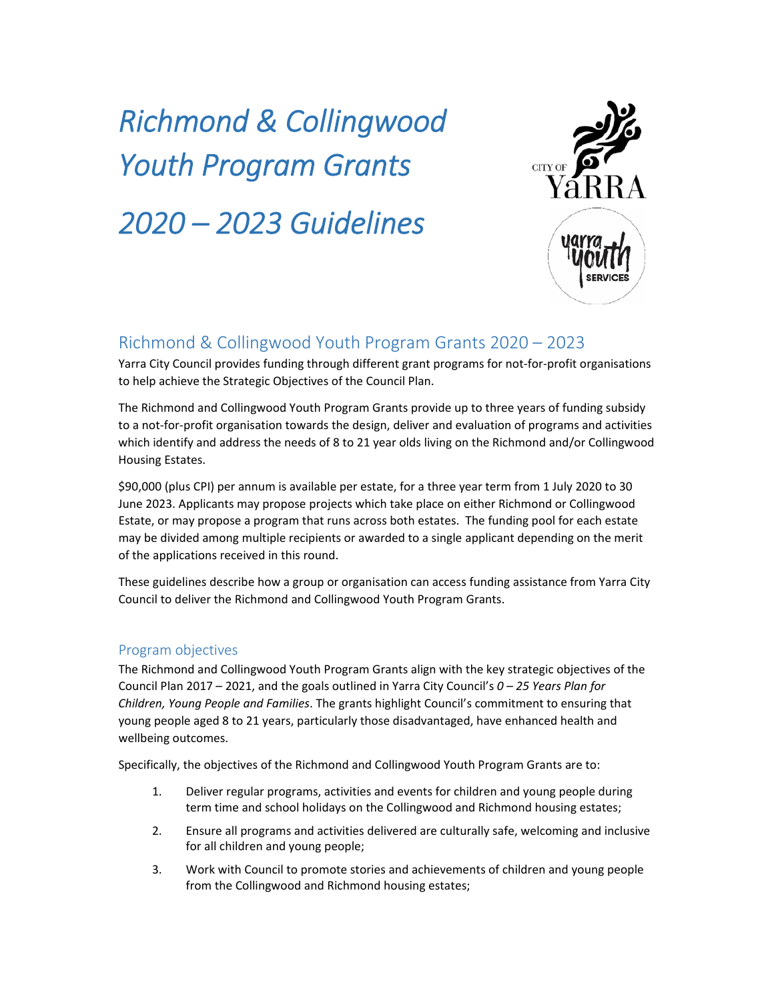# *Richmond & Collingwood Youth Program Grants 2020 – 2023 Guidelines*



# Richmond & Collingwood Youth Program Grants 2020 – 2023

Yarra City Council provides funding through different grant programs for not‐for‐profit organisations to help achieve the Strategic Objectives of the Council Plan.

The Richmond and Collingwood Youth Program Grants provide up to three years of funding subsidy to a not‐for‐profit organisation towards the design, deliver and evaluation of programs and activities which identify and address the needs of 8 to 21 year olds living on the Richmond and/or Collingwood Housing Estates.

\$90,000 (plus CPI) per annum is available per estate, for a three year term from 1 July 2020 to 30 June 2023. Applicants may propose projects which take place on either Richmond or Collingwood Estate, or may propose a program that runs across both estates. The funding pool for each estate may be divided among multiple recipients or awarded to a single applicant depending on the merit of the applications received in this round.

These guidelines describe how a group or organisation can access funding assistance from Yarra City Council to deliver the Richmond and Collingwood Youth Program Grants.

### Program objectives

The Richmond and Collingwood Youth Program Grants align with the key strategic objectives of the Council Plan 2017 – 2021, and the goals outlined in Yarra City Council's *0 – 25 Years Plan for Children, Young People and Families*. The grants highlight Council's commitment to ensuring that young people aged 8 to 21 years, particularly those disadvantaged, have enhanced health and wellbeing outcomes.

Specifically, the objectives of the Richmond and Collingwood Youth Program Grants are to:

- 1. Deliver regular programs, activities and events for children and young people during term time and school holidays on the Collingwood and Richmond housing estates;
- 2. Ensure all programs and activities delivered are culturally safe, welcoming and inclusive for all children and young people;
- 3. Work with Council to promote stories and achievements of children and young people from the Collingwood and Richmond housing estates;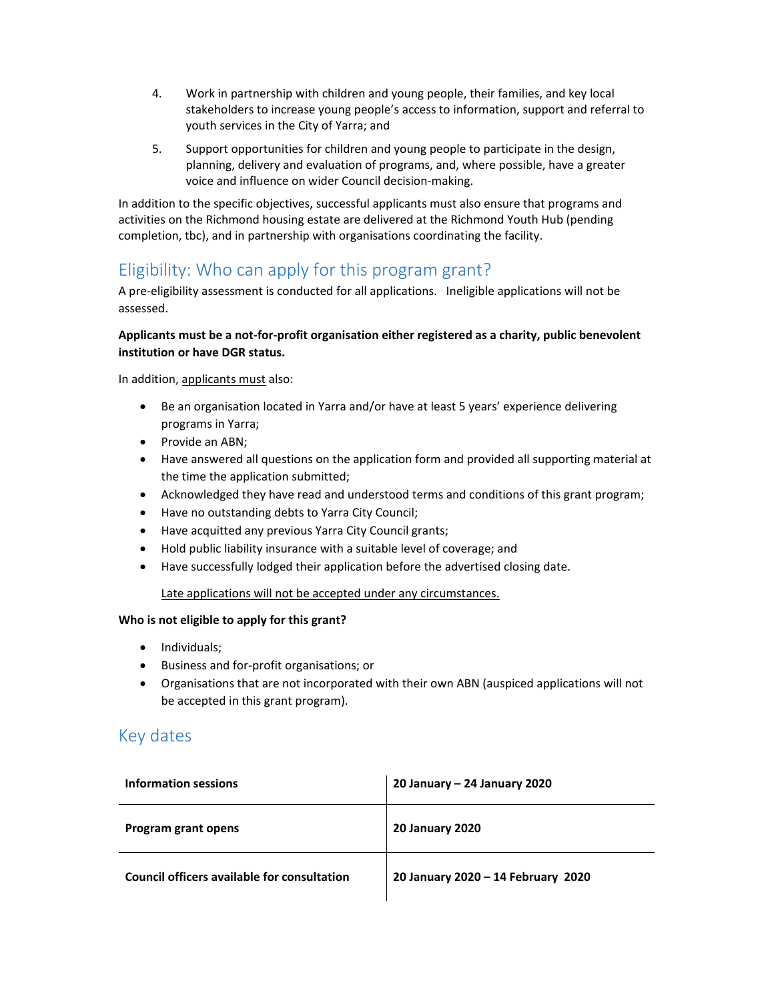- 4. Work in partnership with children and young people, their families, and key local stakeholders to increase young people's access to information, support and referral to youth services in the City of Yarra; and
- 5. Support opportunities for children and young people to participate in the design, planning, delivery and evaluation of programs, and, where possible, have a greater voice and influence on wider Council decision‐making.

In addition to the specific objectives, successful applicants must also ensure that programs and activities on the Richmond housing estate are delivered at the Richmond Youth Hub (pending completion, tbc), and in partnership with organisations coordinating the facility.

# Eligibility: Who can apply for this program grant?

A pre‐eligibility assessment is conducted for all applications. Ineligible applications will not be assessed.

#### **Applicants must be a not‐for‐profit organisation either registered as a charity, public benevolent institution or have DGR status.**

In addition, applicants must also:

- Be an organisation located in Yarra and/or have at least 5 years' experience delivering programs in Yarra;
- Provide an ABN;
- Have answered all questions on the application form and provided all supporting material at the time the application submitted;
- Acknowledged they have read and understood terms and conditions of this grant program;
- Have no outstanding debts to Yarra City Council;
- Have acquitted any previous Yarra City Council grants;
- Hold public liability insurance with a suitable level of coverage; and
- Have successfully lodged their application before the advertised closing date.

Late applications will not be accepted under any circumstances.

#### **Who is not eligible to apply for this grant?**

- Individuals;
- Business and for‐profit organisations; or
- Organisations that are not incorporated with their own ABN (auspiced applications will not be accepted in this grant program).

## Key dates

| Information sessions                        | 20 January - 24 January 2020       |
|---------------------------------------------|------------------------------------|
| Program grant opens                         | <b>20 January 2020</b>             |
| Council officers available for consultation | 20 January 2020 - 14 February 2020 |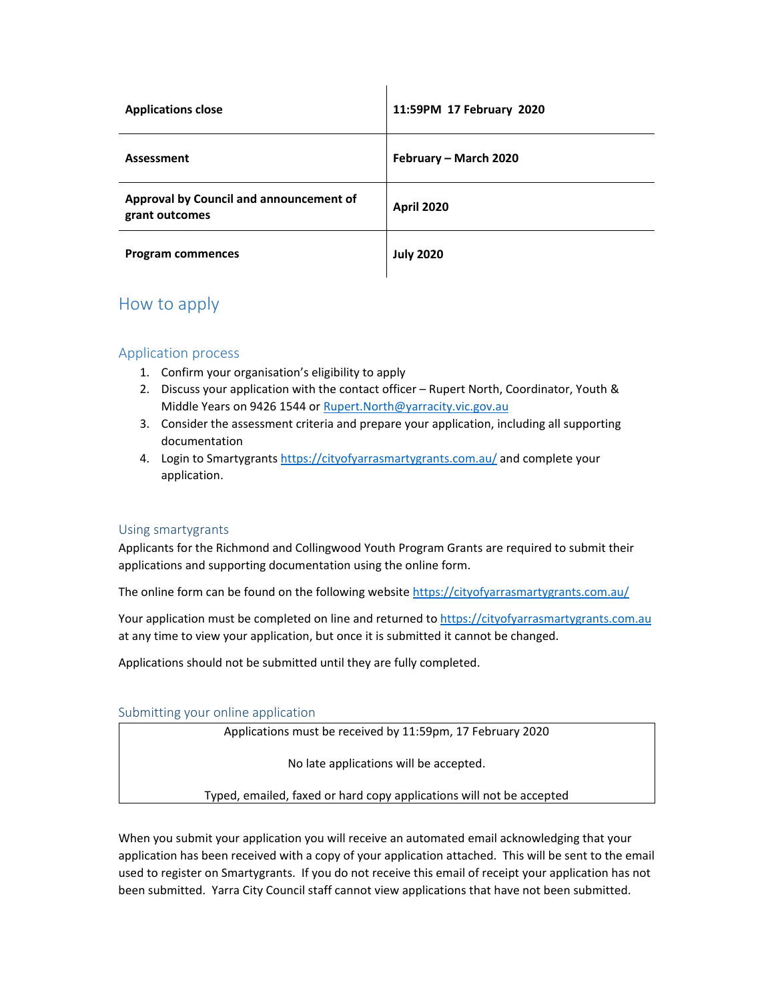| <b>Applications close</b>                                 | 11:59PM 17 February 2020 |
|-----------------------------------------------------------|--------------------------|
| Assessment                                                | February - March 2020    |
| Approval by Council and announcement of<br>grant outcomes | <b>April 2020</b>        |
| <b>Program commences</b>                                  | <b>July 2020</b>         |

## How to apply

#### Application process

- 1. Confirm your organisation's eligibility to apply
- 2. Discuss your application with the contact officer Rupert North, Coordinator, Youth & Middle Years on 9426 1544 or Rupert.North@yarracity.vic.gov.au
- 3. Consider the assessment criteria and prepare your application, including all supporting documentation
- 4. Login to Smartygrants https://cityofyarrasmartygrants.com.au/ and complete your application.

#### Using smartygrants

Applicants for the Richmond and Collingwood Youth Program Grants are required to submit their applications and supporting documentation using the online form.

The online form can be found on the following website https://cityofyarrasmartygrants.com.au/

Your application must be completed on line and returned to https://cityofyarrasmartygrants.com.au at any time to view your application, but once it is submitted it cannot be changed.

Applications should not be submitted until they are fully completed.

Submitting your online application

Applications must be received by 11:59pm, 17 February 2020

No late applications will be accepted.

Typed, emailed, faxed or hard copy applications will not be accepted

When you submit your application you will receive an automated email acknowledging that your application has been received with a copy of your application attached. This will be sent to the email used to register on Smartygrants. If you do not receive this email of receipt your application has not been submitted. Yarra City Council staff cannot view applications that have not been submitted.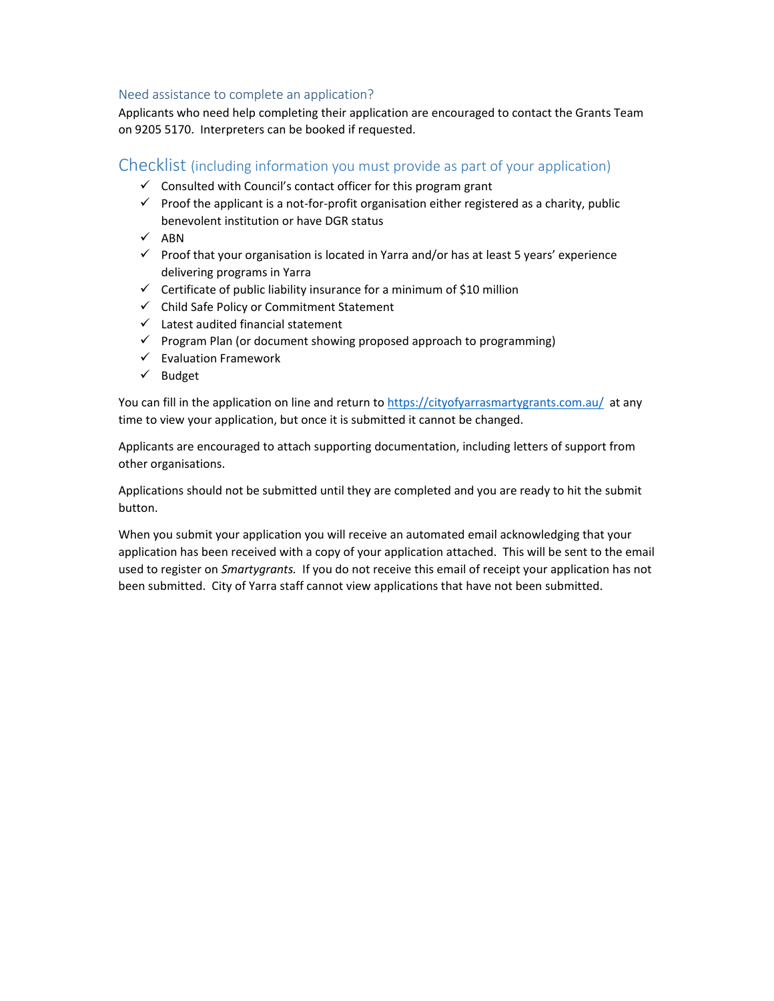#### Need assistance to complete an application?

Applicants who need help completing their application are encouraged to contact the Grants Team on 9205 5170. Interpreters can be booked if requested.

#### Checklist (including information you must provide as part of your application)

- $\checkmark$  Consulted with Council's contact officer for this program grant
- $\checkmark$  Proof the applicant is a not-for-profit organisation either registered as a charity, public benevolent institution or have DGR status
- $\checkmark$  ABN
- $\checkmark$  Proof that your organisation is located in Yarra and/or has at least 5 years' experience delivering programs in Yarra
- $\checkmark$  Certificate of public liability insurance for a minimum of \$10 million
- $\checkmark$  Child Safe Policy or Commitment Statement
- $\checkmark$  Latest audited financial statement
- $\checkmark$  Program Plan (or document showing proposed approach to programming)
- $\checkmark$  Evaluation Framework
- $\checkmark$  Budget

You can fill in the application on line and return to https://cityofyarrasmartygrants.com.au/ at any time to view your application, but once it is submitted it cannot be changed.

Applicants are encouraged to attach supporting documentation, including letters of support from other organisations.

Applications should not be submitted until they are completed and you are ready to hit the submit button.

When you submit your application you will receive an automated email acknowledging that your application has been received with a copy of your application attached. This will be sent to the email used to register on *Smartygrants.* If you do not receive this email of receipt your application has not been submitted. City of Yarra staff cannot view applications that have not been submitted.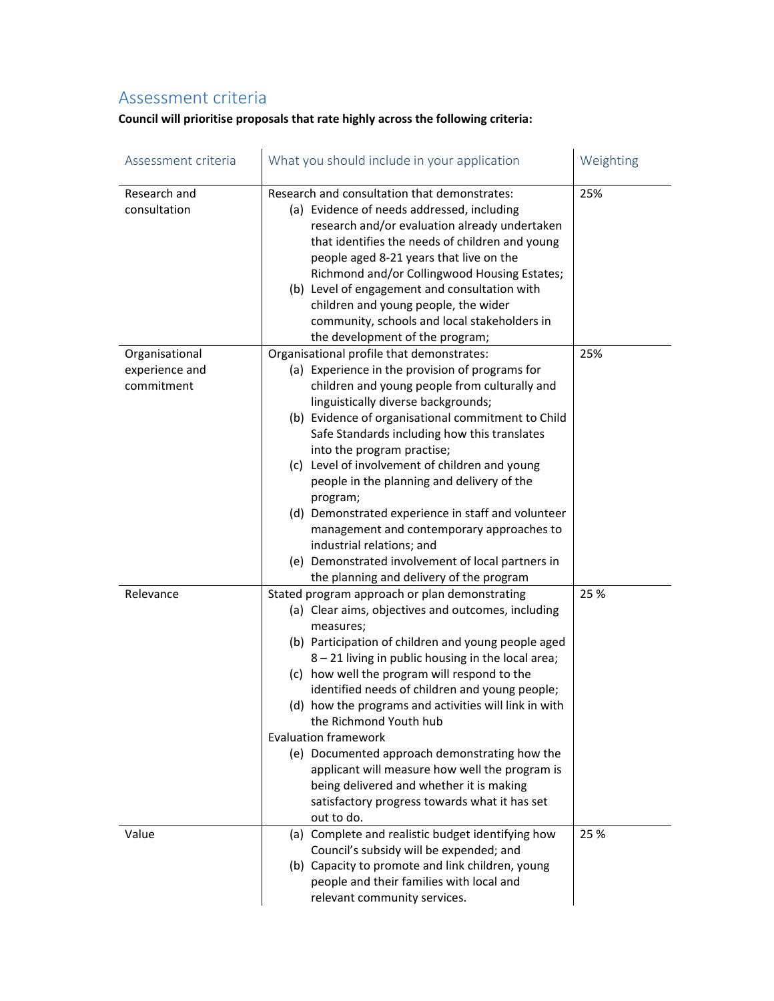# Assessment criteria

## **Council will prioritise proposals that rate highly across the following criteria:**

| Assessment criteria                            | What you should include in your application                                                                                                                                                                                                                                                                                                                                                                                                                                                                                                                                                                                                                           | Weighting |
|------------------------------------------------|-----------------------------------------------------------------------------------------------------------------------------------------------------------------------------------------------------------------------------------------------------------------------------------------------------------------------------------------------------------------------------------------------------------------------------------------------------------------------------------------------------------------------------------------------------------------------------------------------------------------------------------------------------------------------|-----------|
| Research and<br>consultation                   | Research and consultation that demonstrates:<br>(a) Evidence of needs addressed, including<br>research and/or evaluation already undertaken<br>that identifies the needs of children and young<br>people aged 8-21 years that live on the<br>Richmond and/or Collingwood Housing Estates;<br>(b) Level of engagement and consultation with<br>children and young people, the wider<br>community, schools and local stakeholders in<br>the development of the program;                                                                                                                                                                                                 | 25%       |
| Organisational<br>experience and<br>commitment | Organisational profile that demonstrates:<br>(a) Experience in the provision of programs for<br>children and young people from culturally and<br>linguistically diverse backgrounds;<br>(b) Evidence of organisational commitment to Child<br>Safe Standards including how this translates<br>into the program practise;<br>(c) Level of involvement of children and young<br>people in the planning and delivery of the<br>program;<br>(d) Demonstrated experience in staff and volunteer<br>management and contemporary approaches to<br>industrial relations; and<br>(e) Demonstrated involvement of local partners in<br>the planning and delivery of the program | 25%       |
| Relevance                                      | Stated program approach or plan demonstrating<br>(a) Clear aims, objectives and outcomes, including<br>measures;<br>(b) Participation of children and young people aged<br>8 - 21 living in public housing in the local area;<br>(c) how well the program will respond to the<br>identified needs of children and young people;<br>(d) how the programs and activities will link in with<br>the Richmond Youth hub<br><b>Evaluation framework</b><br>(e) Documented approach demonstrating how the<br>applicant will measure how well the program is<br>being delivered and whether it is making<br>satisfactory progress towards what it has set<br>out to do.       | 25 %      |
| Value                                          | (a) Complete and realistic budget identifying how<br>Council's subsidy will be expended; and<br>(b) Capacity to promote and link children, young<br>people and their families with local and<br>relevant community services.                                                                                                                                                                                                                                                                                                                                                                                                                                          | 25 %      |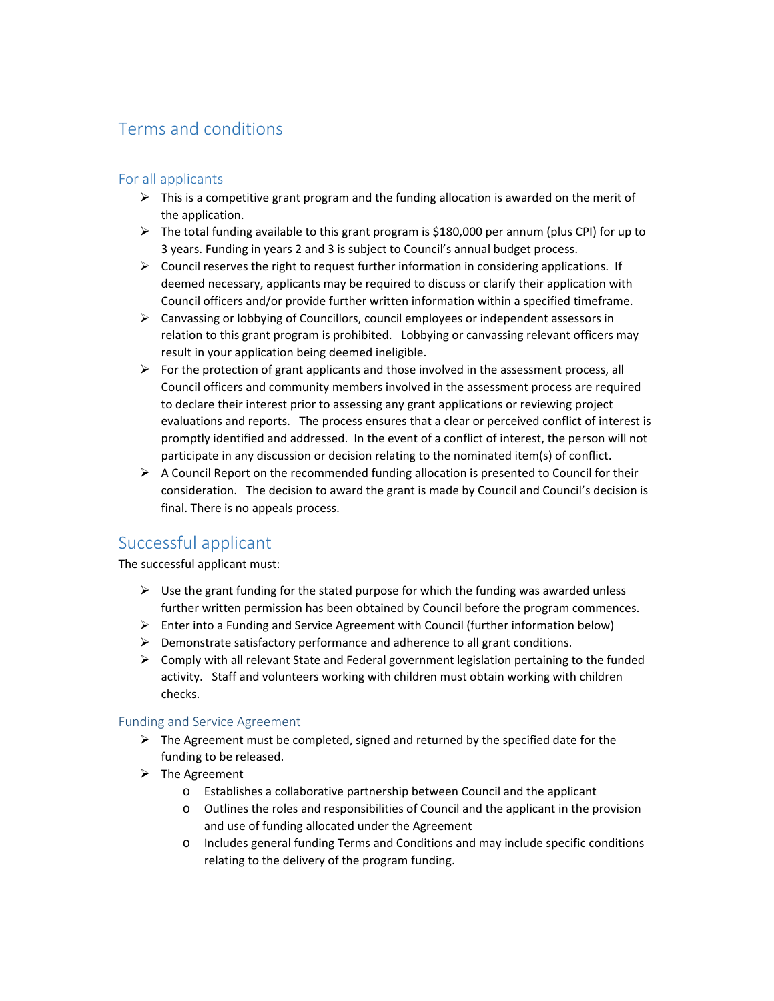## Terms and conditions

#### For all applicants

- $\triangleright$  This is a competitive grant program and the funding allocation is awarded on the merit of the application.
- $\triangleright$  The total funding available to this grant program is \$180,000 per annum (plus CPI) for up to 3 years. Funding in years 2 and 3 is subject to Council's annual budget process.
- $\triangleright$  Council reserves the right to request further information in considering applications. If deemed necessary, applicants may be required to discuss or clarify their application with Council officers and/or provide further written information within a specified timeframe.
- $\triangleright$  Canvassing or lobbying of Councillors, council employees or independent assessors in relation to this grant program is prohibited. Lobbying or canvassing relevant officers may result in your application being deemed ineligible.
- $\triangleright$  For the protection of grant applicants and those involved in the assessment process, all Council officers and community members involved in the assessment process are required to declare their interest prior to assessing any grant applications or reviewing project evaluations and reports. The process ensures that a clear or perceived conflict of interest is promptly identified and addressed. In the event of a conflict of interest, the person will not participate in any discussion or decision relating to the nominated item(s) of conflict.
- $\triangleright$  A Council Report on the recommended funding allocation is presented to Council for their consideration. The decision to award the grant is made by Council and Council's decision is final. There is no appeals process.

## Successful applicant

The successful applicant must:

- $\triangleright$  Use the grant funding for the stated purpose for which the funding was awarded unless further written permission has been obtained by Council before the program commences.
- $\triangleright$  Enter into a Funding and Service Agreement with Council (further information below)
- $\triangleright$  Demonstrate satisfactory performance and adherence to all grant conditions.
- $\triangleright$  Comply with all relevant State and Federal government legislation pertaining to the funded activity. Staff and volunteers working with children must obtain working with children checks.

#### Funding and Service Agreement

- $\triangleright$  The Agreement must be completed, signed and returned by the specified date for the funding to be released.
- $\triangleright$  The Agreement
	- o Establishes a collaborative partnership between Council and the applicant
	- o Outlines the roles and responsibilities of Council and the applicant in the provision and use of funding allocated under the Agreement
	- o Includes general funding Terms and Conditions and may include specific conditions relating to the delivery of the program funding.